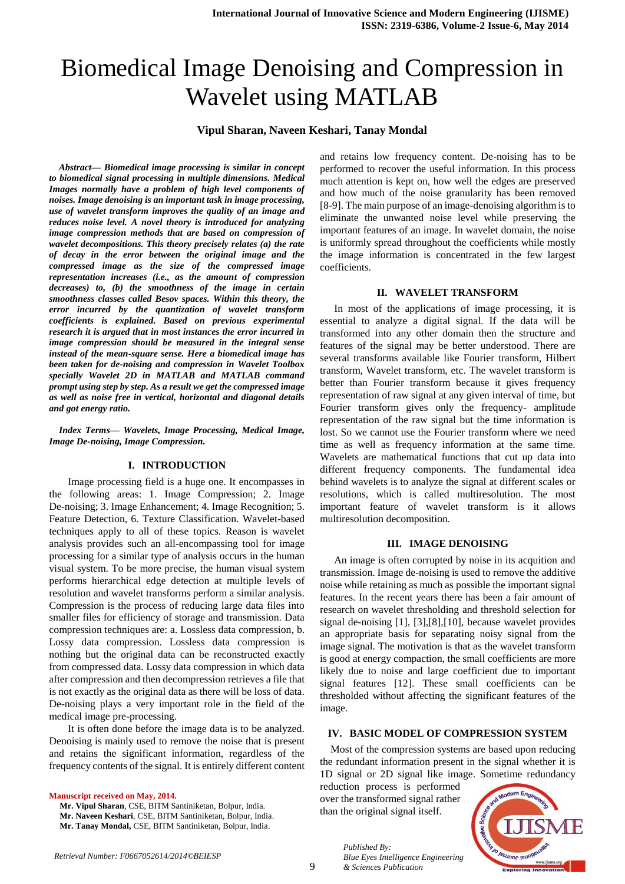# Biomedical Image Denoising and Compression in Wavelet using MATLAB

#### **Vipul Sharan, Naveen Keshari, Tanay Mondal**

*Abstract— Biomedical image processing is similar in concept to biomedical signal processing in multiple dimensions. Medical Images normally have a problem of high level components of noises. Image denoising is an important task in image processing, use of wavelet transform improves the quality of an image and reduces noise level. A novel theory is introduced for analyzing image compression methods that are based on compression of wavelet decompositions. This theory precisely relates (a) the rate of decay in the error between the original image and the compressed image as the size of the compressed image representation increases (i.e., as the amount of compression decreases) to, (b) the smoothness of the image in certain smoothness classes called Besov spaces. Within this theory, the error incurred by the quantization of wavelet transform coefficients is explained. Based on previous experimental research it is argued that in most instances the error incurred in image compression should be measured in the integral sense instead of the mean-square sense. Here a biomedical image has been taken for de-noising and compression in Wavelet Toolbox specially Wavelet 2D in MATLAB and MATLAB command prompt using step by step. As a result we get the compressed image as well as noise free in vertical, horizontal and diagonal details and got energy ratio.*

*Index Terms— Wavelets, Image Processing, Medical Image, Image De-noising, Image Compression.* 

#### **I. INTRODUCTION**

Image processing field is a huge one. It encompasses in the following areas: 1. Image Compression; 2. Image De-noising; 3. Image Enhancement; 4. Image Recognition; 5. Feature Detection, 6. Texture Classification. Wavelet-based techniques apply to all of these topics. Reason is wavelet analysis provides such an all-encompassing tool for image processing for a similar type of analysis occurs in the human visual system. To be more precise, the human visual system performs hierarchical edge detection at multiple levels of resolution and wavelet transforms perform a similar analysis. Compression is the process of reducing large data files into smaller files for efficiency of storage and transmission. Data compression techniques are: a. Lossless data compression, b. Lossy data compression. Lossless data compression is nothing but the original data can be reconstructed exactly from compressed data. Lossy data compression in which data after compression and then decompression retrieves a file that is not exactly as the original data as there will be loss of data. De-noising plays a very important role in the field of the medical image pre-processing.

It is often done before the image data is to be analyzed. Denoising is mainly used to remove the noise that is present and retains the significant information, regardless of the frequency contents of the signal. It is entirely different content

**Manuscript received on May, 2014.**

- **Mr. Vipul Sharan**, CSE, BITM Santiniketan, Bolpur, India.
- **Mr. Naveen Keshari**, CSE, BITM Santiniketan, Bolpur, India.
- **Mr. Tanay Mondal,** CSE, BITM Santiniketan, Bolpur, India.

and retains low frequency content. De-noising has to be performed to recover the useful information. In this process much attention is kept on, how well the edges are preserved and how much of the noise granularity has been removed [8-9]. The main purpose of an image-denoising algorithm is to eliminate the unwanted noise level while preserving the important features of an image. In wavelet domain, the noise is uniformly spread throughout the coefficients while mostly the image information is concentrated in the few largest coefficients.

## **II. WAVELET TRANSFORM**

In most of the applications of image processing, it is essential to analyze a digital signal. If the data will be transformed into any other domain then the structure and features of the signal may be better understood. There are several transforms available like Fourier transform, Hilbert transform, Wavelet transform, etc. The wavelet transform is better than Fourier transform because it gives frequency representation of raw signal at any given interval of time, but Fourier transform gives only the frequency- amplitude representation of the raw signal but the time information is lost. So we cannot use the Fourier transform where we need time as well as frequency information at the same time. Wavelets are mathematical functions that cut up data into different frequency components. The fundamental idea behind wavelets is to analyze the signal at different scales or resolutions, which is called multiresolution. The most important feature of wavelet transform is it allows multiresolution decomposition.

#### **III. IMAGE DENOISING**

An image is often corrupted by noise in its acquition and transmission. Image de-noising is used to remove the additive noise while retaining as much as possible the important signal features. In the recent years there has been a fair amount of research on wavelet thresholding and threshold selection for signal de-noising [1], [3],[8],[10], because wavelet provides an appropriate basis for separating noisy signal from the image signal. The motivation is that as the wavelet transform is good at energy compaction, the small coefficients are more likely due to noise and large coefficient due to important signal features [12]. These small coefficients can be thresholded without affecting the significant features of the image.

#### **IV. BASIC MODEL OF COMPRESSION SYSTEM**

Most of the compression systems are based upon reducing the redundant information present in the signal whether it is 1D signal or 2D signal like image. Sometime redundancy

reduction process is performed over the transformed signal rather than the original signal itself.



*Published By: Blue Eyes Intelligence Engineering & Sciences Publication* 

9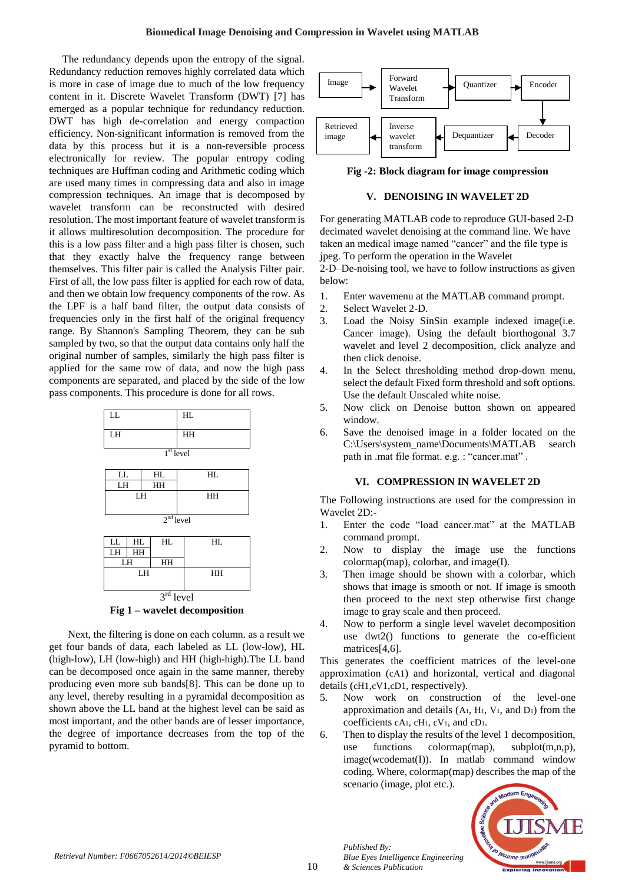The redundancy depends upon the entropy of the signal. Redundancy reduction removes highly correlated data which is more in case of image due to much of the low frequency content in it. Discrete Wavelet Transform (DWT) [7] has emerged as a popular technique for redundancy reduction. DWT has high de-correlation and energy compaction efficiency. Non-significant information is removed from the data by this process but it is a non-reversible process electronically for review. The popular entropy coding techniques are Huffman coding and Arithmetic coding which are used many times in compressing data and also in image compression techniques. An image that is decomposed by wavelet transform can be reconstructed with desired resolution. The most important feature of wavelet transform is it allows multiresolution decomposition. The procedure for this is a low pass filter and a high pass filter is chosen, such that they exactly halve the frequency range between themselves. This filter pair is called the Analysis Filter pair. First of all, the low pass filter is applied for each row of data, and then we obtain low frequency components of the row. As the LPF is a half band filter, the output data consists of frequencies only in the first half of the original frequency range. By Shannon's Sampling Theorem, they can be sub sampled by two, so that the output data contains only half the original number of samples, similarly the high pass filter is applied for the same row of data, and now the high pass components are separated, and placed by the side of the low pass components. This procedure is done for all rows.



Next, the filtering is done on each column. as a result we get four bands of data, each labeled as LL (low-low), HL (high-low), LH (low-high) and HH (high-high).The LL band can be decomposed once again in the same manner, thereby producing even more sub bands[8]. This can be done up to any level, thereby resulting in a pyramidal decomposition as shown above the LL band at the highest level can be said as most important, and the other bands are of lesser importance, the degree of importance decreases from the top of the pyramid to bottom.



**Fig -2: Block diagram for image compression**

## **V. DENOISING IN WAVELET 2D**

For generating MATLAB code to reproduce GUI-based 2-D decimated wavelet denoising at the command line. We have taken an medical image named "cancer" and the file type is jpeg. To perform the operation in the Wavelet

2-D–De-noising tool, we have to follow instructions as given below:

- 1. Enter wavemenu at the MATLAB command prompt.
- 2. Select Wavelet 2-D.
- 3. Load the Noisy SinSin example indexed image(i.e. Cancer image). Using the default biorthogonal 3.7 wavelet and level 2 decomposition, click analyze and then click denoise.
- 4. In the Select thresholding method drop-down menu, select the default Fixed form threshold and soft options. Use the default Unscaled white noise.
- 5. Now click on Denoise button shown on appeared window.
- 6. Save the denoised image in a folder located on the C:\Users\system\_name\Documents\MATLAB search path in .mat file format. e.g. : "cancer.mat" .

## **VI. COMPRESSION IN WAVELET 2D**

The Following instructions are used for the compression in Wavelet 2D:-

- 1. Enter the code "load cancer.mat" at the MATLAB command prompt.
- 2. Now to display the image use the functions colormap(map), colorbar, and image(I).
- 3. Then image should be shown with a colorbar, which shows that image is smooth or not. If image is smooth then proceed to the next step otherwise first change image to gray scale and then proceed.
- 4. Now to perform a single level wavelet decomposition use dwt2() functions to generate the co-efficient matrices<sup>[4,6]</sup>.

This generates the coefficient matrices of the level-one approximation (cA1) and horizontal, vertical and diagonal details (cH1,cV1,cD1, respectively).

- 5. Now work on construction of the level-one approximation and details  $(A<sub>1</sub>, H<sub>1</sub>, V<sub>1</sub>, and D<sub>1</sub>)$  from the coefficients cA1, cH1, cV1, and cD1.
- 6. Then to display the results of the level 1 decomposition, use functions colormap(map), subplot(m,n,p), image(wcodemat(I)). In matlab command window coding. Where, colormap(map) describes the map of the scenario (image, plot etc.).



*Published By:*

*& Sciences Publication* 

*Blue Eyes Intelligence Engineering*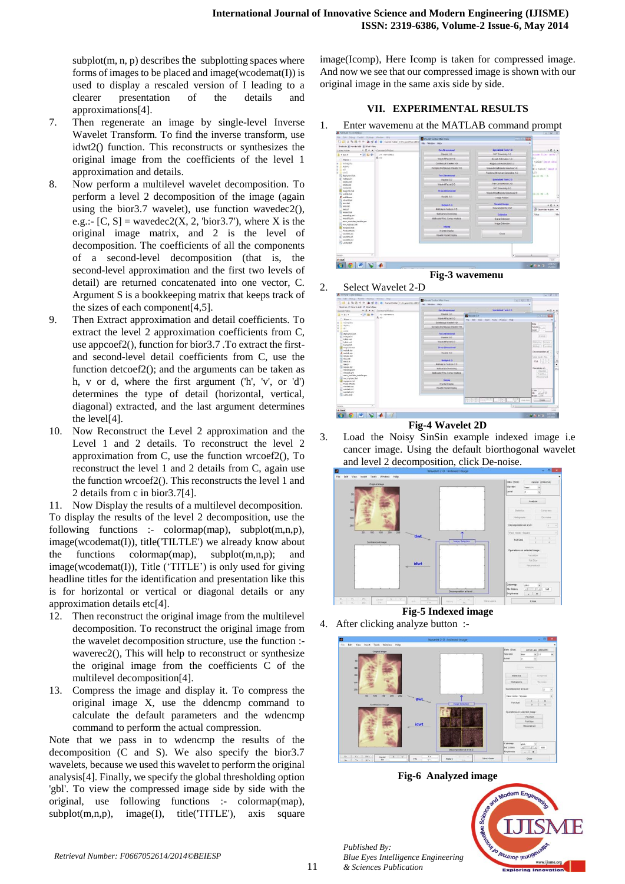$subplot(m, n, p)$  describes the subplotting spaces where forms of images to be placed and image(wcodemat(I)) is used to display a rescaled version of I leading to a clearer presentation of the details and approximations[4].

- 7. Then regenerate an image by single-level Inverse Wavelet Transform. To find the inverse transform, use idwt2() function. This reconstructs or synthesizes the original image from the coefficients of the level 1 approximation and details.
- 8. Now perform a multilevel wavelet decomposition. To perform a level 2 decomposition of the image (again using the bior  $3.7$  wavelet), use function wavedec  $2()$ , e.g.:-  $[C, S]$  = wavedec2 $(X, 2, 'bior 3.7')$ , where X is the original image matrix, and 2 is the level of decomposition. The coefficients of all the components of a second-level decomposition (that is, the second-level approximation and the first two levels of detail) are returned concatenated into one vector, C. Argument S is a bookkeeping matrix that keeps track of the sizes of each component[4,5].
- 9. Then Extract approximation and detail coefficients. To extract the level 2 approximation coefficients from C, use appcoef2(), function for bior3.7 .To extract the firstand second-level detail coefficients from C, use the function detcoef2(); and the arguments can be taken as h, v or d, where the first argument ('h', 'v', or 'd') determines the type of detail (horizontal, vertical, diagonal) extracted, and the last argument determines the level[4].
- 10. Now Reconstruct the Level 2 approximation and the Level 1 and 2 details. To reconstruct the level 2 approximation from C, use the function wrcoef2(), To reconstruct the level 1 and 2 details from C, again use the function wrcoef2(). This reconstructs the level 1 and 2 details from c in bior3.7[4].

11. Now Display the results of a multilevel decomposition. To display the results of the level 2 decomposition, use the following functions :- colormap(map), subplot $(m,n,p)$ , image(wcodemat(I)), title('TILTLE') we already know about the functions colormap(map), subplot(m,n,p); and image(wcodemat(I)), Title ('TITLE') is only used for giving headline titles for the identification and presentation like this is for horizontal or vertical or diagonal details or any approximation details etc[4].

- 12. Then reconstruct the original image from the multilevel decomposition. To reconstruct the original image from the wavelet decomposition structure, use the function : waverec2(), This will help to reconstruct or synthesize the original image from the coefficients C of the multilevel decomposition[4].
- 13. Compress the image and display it. To compress the original image X, use the ddencmp command to calculate the default parameters and the wdencmp command to perform the actual compression.

Note that we pass in to wdencmp the results of the decomposition (C and S). We also specify the bior3.7 wavelets, because we used this wavelet to perform the original analysis[4]. Finally, we specify the global thresholding option 'gbl'. To view the compressed image side by side with the original, use following functions :- colormap(map),  $subplot(m,n,p),$  image(I), title('TITLE'), axis square

image(Icomp), Here Icomp is taken for compressed image. And now we see that our compressed image is shown with our original image in the same axis side by side.

# **VII. EXPERIMENTAL RESULTS**

1. Enter wavemenu at the MATLAB command prompt

| File Edit Datus Forder Destroy Wednes Help                                                                                                                                           | 门 四 正 地 选 の や 過 型 道 i @ Canetfolio ClPogan Ric Gift | <b>Bally Streeter Toolbox Mass Menu</b>                    | <b>EVIS 89</b>                      |                                                   |
|--------------------------------------------------------------------------------------------------------------------------------------------------------------------------------------|-----------------------------------------------------|------------------------------------------------------------|-------------------------------------|---------------------------------------------------|
| Shortcuts (8) How to Add (8) What's New                                                                                                                                              |                                                     | Fir Window Hdp                                             | ×                                   |                                                   |
| $x + 1 + 1$<br>Current Folder:                                                                                                                                                       | Comment/Wedge                                       | Cox Greenland                                              | Specialized Tools 1-2               | $+0.8$                                            |
| $-201800$<br>$\frac{1}{2}$ = 100 $\lambda$                                                                                                                                           | 39 waynekens                                        | Warner I-D                                                 | DIVI Denseas 1-D                    | earns files (abtili                               |
| <b>Hame</b> =                                                                                                                                                                        | R > 2                                               | <b>Wavelet Packet 1-D</b>                                  | Dana & Estimation 1-D               | ×                                                 |
| in milimpicin                                                                                                                                                                        |                                                     | Continuous Worelet 1-D                                     | Regression Esterration 1-D          | sister Innot deng                                 |
| iii registry<br>11.068                                                                                                                                                               |                                                     | Complex Continuous (Vacelet 5-D)                           | Wassist Coefficients Salestien 1-D. | n e<br>ENVI Kitler Innon H                        |
| minio<br>adaptyteclar<br>indiana.ini<br><b>Scillate anni</b><br>ledate and<br>Sceeceita<br><b>Hill magic of and</b><br>- middeb.bat<br>di matatone<br><b>Constitut</b><br>is mot but |                                                     | Two Zimenstonal                                            | Fortional Reservas Canagation 1-D   | L21<br>$12104$ 3H $-4$<br>$2106$ m $-4$<br>$+0.1$ |
|                                                                                                                                                                                      |                                                     | <b>INternet 2-D</b>                                        | <b>Torcialism Torin 2.0</b>         |                                                   |
|                                                                                                                                                                                      |                                                     | Wayslet Packet 2-D                                         | Trus Composesion 5-D.               |                                                   |
|                                                                                                                                                                                      |                                                     |                                                            | DWT Denoising 2-D.                  |                                                   |
|                                                                                                                                                                                      |                                                     | Time Olmersistal                                           | Wassiet Confidently Selection 2-D.  |                                                   |
|                                                                                                                                                                                      |                                                     | Wavest 3-D                                                 | <b>Image Fusion</b>                 |                                                   |
|                                                                                                                                                                                      |                                                     | thattate 1.0                                               | <b>Waynet Design</b>                |                                                   |
| L'onn het<br>mexist                                                                                                                                                                  |                                                     | <b>Multagnal Analysis 1-D</b>                              | <b>New Wavelet for CIST</b>         | CD Select data to plot                            |
| menand lost<br>moodus.cm                                                                                                                                                             |                                                     | <b>Bullida's Dension</b><br>Mallacale Princ Corns Anatolis | Esteraion                           | Volus<br>Mo                                       |
| mentik pm                                                                                                                                                                            |                                                     |                                                            | <b>Bang Edension</b>                |                                                   |
| most modules indularges<br>mx mpeechat<br><b>Bi</b> magazine mat<br>Productions<br>navich an                                                                                         |                                                     |                                                            | <b>ImportEntencion</b>              |                                                   |
|                                                                                                                                                                                      |                                                     | <b>Christier</b>                                           |                                     |                                                   |
|                                                                                                                                                                                      |                                                     | Waveret Display                                            | CHAR                                |                                                   |
| wavdetsaid<br>ö.                                                                                                                                                                     |                                                     | <b>Illinoiel Packet Display</b>                            |                                     |                                                   |
| me, which, price<br><b>By service hat</b>                                                                                                                                            |                                                     |                                                            |                                     |                                                   |
|                                                                                                                                                                                      |                                                     |                                                            |                                     |                                                   |
|                                                                                                                                                                                      |                                                     |                                                            |                                     |                                                   |
| ×<br>Detecte                                                                                                                                                                         |                                                     |                                                            | $\sqrt{2}$                          |                                                   |
| d. Start                                                                                                                                                                             |                                                     |                                                            |                                     | lost                                              |
|                                                                                                                                                                                      |                                                     |                                                            |                                     | <b>SIMME IMME</b>                                 |



| Sherbouts 20 How to Add 25 What's New         |                          | □ 己 正 毛 选 の で   新 己 式   W   Current Folder: C(Program Files (487) | <b>Wandel Tselbocklain Mirro</b><br>$\sqrt{9}$<br><b>Fig.</b> Wedge Hdg.        | ٠                             |
|-----------------------------------------------|--------------------------|-------------------------------------------------------------------|---------------------------------------------------------------------------------|-------------------------------|
| Current Publist                               |                          | P. II. P. W. Comment Window                                       | Special and Tools 1.0<br><b>Das Divisional</b>                                  | $+0.0 -$                      |
| $\pm$ = $\tan x$                              | $-2000 -$                | 10 Mayemetrs                                                      | <b>Blacked S-D</b><br><b>BI</b> Washington                                      | 120-3120 600                  |
| Rame -                                        |                          | $R \gg$                                                           | Visualist Playtiat 5-2)<br>File Edit: View Sept Tech Wedner Help                |                               |
| a redimpting                                  |                          |                                                                   | Continuous Virginian 1-D.                                                       | <b>Deta</b>                   |
| all registry.<br><b>ARR</b>                   |                          |                                                                   | Complex Continuous (Haywiel 1-D.)                                               | <b>Financia</b> is<br>Leat 1  |
| parel 2<br><b>Miller</b> yhoot but            |                          |                                                                   | <b>Two Ornarional</b>                                                           | Artalana 1                    |
| indigesive<br>le fatta and                    |                          |                                                                   | maxed 2-D                                                                       |                               |
| <b>Individual</b><br><b>Romerant</b>          |                          |                                                                   | Wassel Parker 2-D                                                               | mento: Entere                 |
| <b>B</b> mapicidimat<br>matleb.hm             |                          |                                                                   | Three-Dimensional                                                               | issued:   Dennis              |
| di matiabase<br><b>Crocktage</b>              |                          |                                                                   | Haven't AD.                                                                     | Decorated by all              |
| E mocket<br>L. mechat                         |                          |                                                                   | <b>Multiple 1.0</b>                                                             | View mode 15m.<br>$Fall$ $-$  |
| mesal                                         |                          |                                                                   | <b>Blutterange Arashmen 1-D</b>                                                 |                               |
| meanthe<br>mainship pm                        |                          |                                                                   | <b>Multivariate Denosing</b>                                                    | Coatabiana on                 |
| moubli pm<br>reast, readsist, initialist per- |                          |                                                                   | <b>Illustrate Princi Cerne, Analysis</b>                                        | <b>HEIRDS</b><br>Full Size    |
| my mained bit<br>myspara.mut                  |                          |                                                                   | <b>Cingden</b>                                                                  | <b>ELACIONARIZAT</b>          |
| ProductRoots<br>conveniences.                 |                          |                                                                   | Waster Owner                                                                    |                               |
| countrium.<br>e                               |                          |                                                                   | Wavelet Packet Director                                                         | Coor                          |
| www.fath.and<br><b>Wanderbar</b>              |                          |                                                                   |                                                                                 | <b>NB</b> (.12)<br>Boste LL 4 |
|                                               |                          |                                                                   | $(7 - 37)$<br>$-34.1$<br>Service L.V. B.<br>54.2<br>View And &<br><b>SILLER</b> | Close                         |
| <b>Exchange</b>                               | $\overline{\phantom{a}}$ |                                                                   | l v s                                                                           | ч                             |
| d. Stat                                       |                          |                                                                   |                                                                                 | ricial                        |

**Fig-4 Wavelet 2D**

3. Load the Noisy SinSin example indexed image i.e cancer image. Using the default biorthogonal wavelet and level 2 decomposition, click De-noise.







**Fig-6 Analyzed image**



*Published By:*

*& Sciences Publication* 

*Blue Eyes Intelligence Engineering*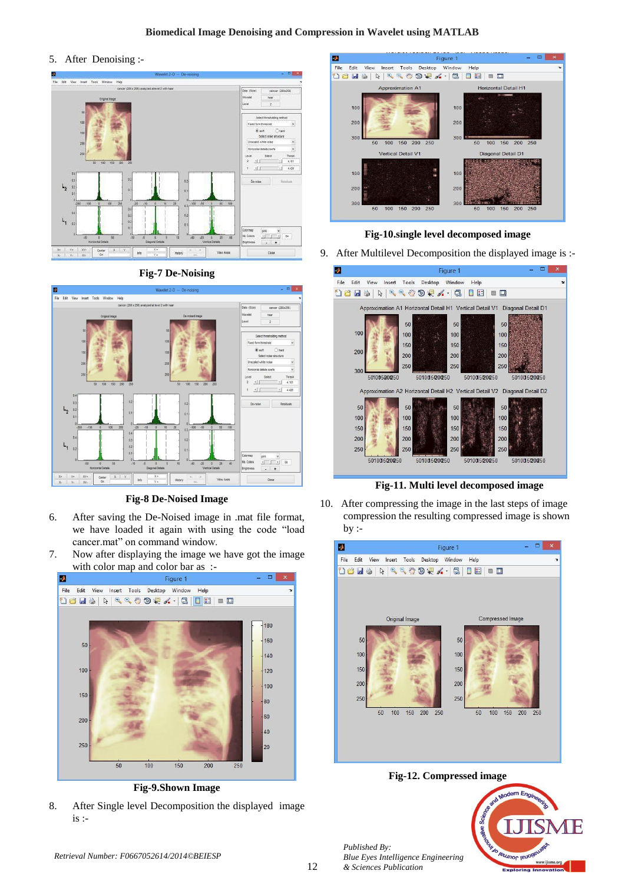## **Biomedical Image Denoising and Compression in Wavelet using MATLAB**

5. After Denoising :-



## **Fig-7 De-Noising**



## **Fig-8 De-Noised Image**

- 6. After saving the De-Noised image in .mat file format, we have loaded it again with using the code "load cancer.mat" on command window.
- 7. Now after displaying the image we have got the image with color map and color bar as :-



**Fig-9.Shown Image**

8. After Single level Decomposition the displayed image is :-



# **Fig-10.single level decomposed image**

9.After Multilevel Decomposition the displayed image is :-



**Fig-11. Multi level decomposed image**

10.After compressing the image in the last steps of image compression the resulting compressed image is shown  $by:$ 



**Fig-12. Compressed image**